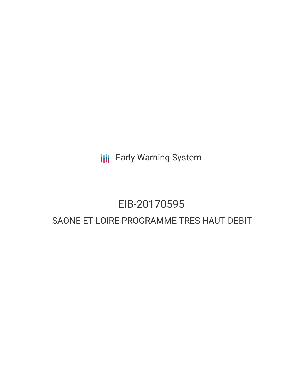**III** Early Warning System

## EIB-20170595

### SAONE ET LOIRE PROGRAMME TRES HAUT DEBIT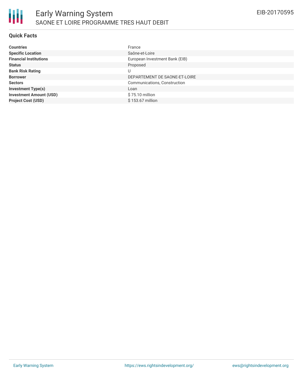### **Quick Facts**

| <b>Countries</b>               | France                         |
|--------------------------------|--------------------------------|
| <b>Specific Location</b>       | Saône-et-Loire                 |
| <b>Financial Institutions</b>  | European Investment Bank (EIB) |
| <b>Status</b>                  | Proposed                       |
| <b>Bank Risk Rating</b>        | U                              |
| <b>Borrower</b>                | DEPARTEMENT DE SAONE-ET-LOIRE  |
| <b>Sectors</b>                 | Communications, Construction   |
| <b>Investment Type(s)</b>      | Loan                           |
| <b>Investment Amount (USD)</b> | \$75.10 million                |
| <b>Project Cost (USD)</b>      | \$153.67 million               |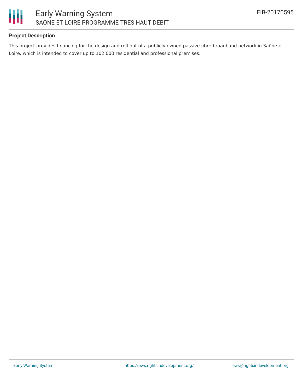

### **Project Description**

This project provides financing for the design and roll-out of a publicly owned passive fibre broadband network in Saône-et-Loire, which is intended to cover up to 102,000 residential and professional premises.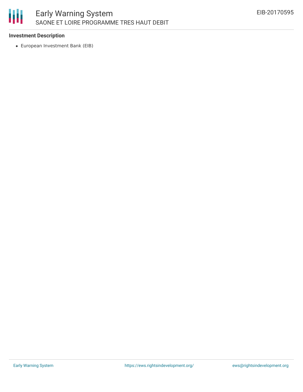# 朋

### **Investment Description**

European Investment Bank (EIB)